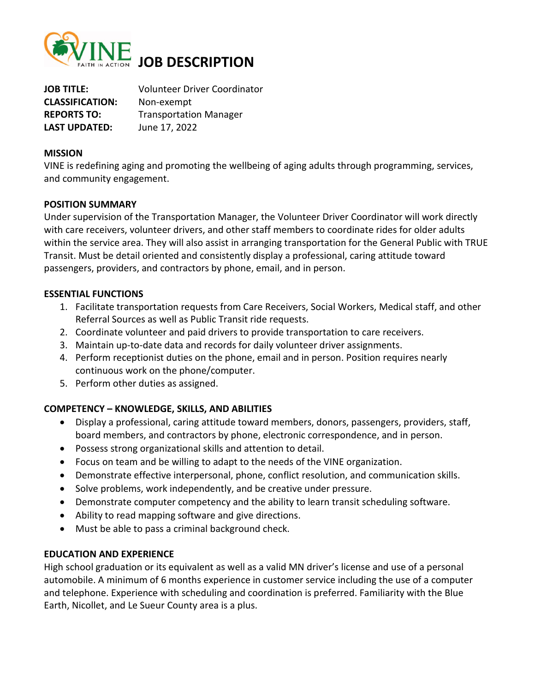

**JOB TITLE:** Volunteer Driver Coordinator **CLASSIFICATION:** Non-exempt **REPORTS TO:** Transportation Manager **LAST UPDATED:** June 17, 2022

### **MISSION**

VINE is redefining aging and promoting the wellbeing of aging adults through programming, services, and community engagement.

# **POSITION SUMMARY**

Under supervision of the Transportation Manager, the Volunteer Driver Coordinator will work directly with care receivers, volunteer drivers, and other staff members to coordinate rides for older adults within the service area. They will also assist in arranging transportation for the General Public with TRUE Transit. Must be detail oriented and consistently display a professional, caring attitude toward passengers, providers, and contractors by phone, email, and in person.

### **ESSENTIAL FUNCTIONS**

- 1. Facilitate transportation requests from Care Receivers, Social Workers, Medical staff, and other Referral Sources as well as Public Transit ride requests.
- 2. Coordinate volunteer and paid drivers to provide transportation to care receivers.
- 3. Maintain up-to-date data and records for daily volunteer driver assignments.
- 4. Perform receptionist duties on the phone, email and in person. Position requires nearly continuous work on the phone/computer.
- 5. Perform other duties as assigned.

# **COMPETENCY – KNOWLEDGE, SKILLS, AND ABILITIES**

- Display a professional, caring attitude toward members, donors, passengers, providers, staff, board members, and contractors by phone, electronic correspondence, and in person.
- Possess strong organizational skills and attention to detail.
- Focus on team and be willing to adapt to the needs of the VINE organization.
- Demonstrate effective interpersonal, phone, conflict resolution, and communication skills.
- Solve problems, work independently, and be creative under pressure.
- Demonstrate computer competency and the ability to learn transit scheduling software.
- Ability to read mapping software and give directions.
- Must be able to pass a criminal background check.

# **EDUCATION AND EXPERIENCE**

High school graduation or its equivalent as well as a valid MN driver's license and use of a personal automobile. A minimum of 6 months experience in customer service including the use of a computer and telephone. Experience with scheduling and coordination is preferred. Familiarity with the Blue Earth, Nicollet, and Le Sueur County area is a plus.